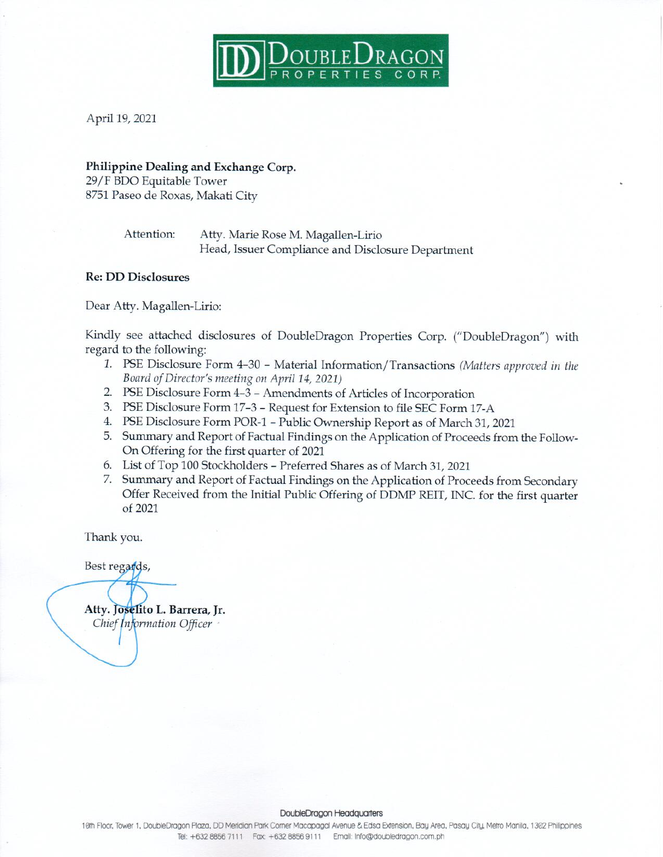

April 19, 2021

### Philippine Dealing and Exchange Corp.

29/F BDO Equitable Tower 8751 Paseo de Roxas, Makati City

> Attention: Atty. Marie Rose M. Magallen-Lirio Head, Issuer Compliance and Disclosure Department

### **Re: DD Disclosures**

Dear Atty. Magallen-Lirio:

Kindly see attached disclosures of DoubleDragon Properties Corp. ("DoubleDragon") with regard to the following:

- 1. PSE Disclosure Form 4-30 Material Information/Transactions (Matters approved in the Board of Director's meeting on April 14, 2021)
- 2. PSE Disclosure Form 4-3 Amendments of Articles of Incorporation
- 3. PSE Disclosure Form 17-3 Request for Extension to file SEC Form 17-A
- 4. PSE Disclosure Form POR-1 Public Ownership Report as of March 31, 2021
- 5. Summary and Report of Factual Findings on the Application of Proceeds from the Follow-On Offering for the first quarter of 2021
- 6. List of Top 100 Stockholders Preferred Shares as of March 31, 2021
- 7. Summary and Report of Factual Findings on the Application of Proceeds from Secondary Offer Received from the Initial Public Offering of DDMP REIT, INC. for the first quarter of 2021

Thank you.

Best regards,

Atty. Joselito L. Barrera, Jr. Chief Information Officer

#### DoubleDragon Headquarters

10th Floor, Tower 1, DoubleDragon Plaza, DD Meridian Park Comer Macapagal Avenue & Edsa Extension, Bay Area, Pasay City, Metro Manila, 1302 Philippines Tel: +632 8856 7111 Fax: +632 8856 9111 Email: Info@doubledragon.com.ph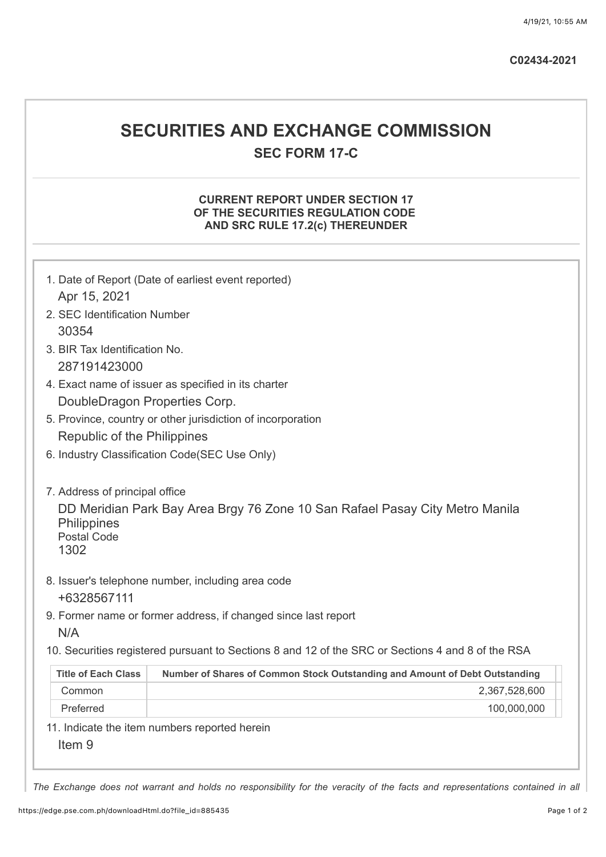| C02434-2021 |
|-------------|
|-------------|

# **SECURITIES AND EXCHANGE COMMISSION SEC FORM 17-C**

# **CURRENT REPORT UNDER SECTION 17 OF THE SECURITIES REGULATION CODE AND SRC RULE 17.2(c) THEREUNDER**

| 1. Date of Report (Date of earliest event reported)                                                                                                                                                                             |  |  |  |  |
|---------------------------------------------------------------------------------------------------------------------------------------------------------------------------------------------------------------------------------|--|--|--|--|
| Apr 15, 2021                                                                                                                                                                                                                    |  |  |  |  |
| 2. SEC Identification Number                                                                                                                                                                                                    |  |  |  |  |
| 30354                                                                                                                                                                                                                           |  |  |  |  |
| 3. BIR Tax Identification No.                                                                                                                                                                                                   |  |  |  |  |
| 287191423000                                                                                                                                                                                                                    |  |  |  |  |
| 4. Exact name of issuer as specified in its charter                                                                                                                                                                             |  |  |  |  |
| DoubleDragon Properties Corp.                                                                                                                                                                                                   |  |  |  |  |
| 5. Province, country or other jurisdiction of incorporation                                                                                                                                                                     |  |  |  |  |
| Republic of the Philippines                                                                                                                                                                                                     |  |  |  |  |
| 6. Industry Classification Code(SEC Use Only)                                                                                                                                                                                   |  |  |  |  |
| 7. Address of principal office<br>DD Meridian Park Bay Area Brgy 76 Zone 10 San Rafael Pasay City Metro Manila<br>Philippines<br><b>Postal Code</b><br>1302<br>8. Issuer's telephone number, including area code<br>+6328567111 |  |  |  |  |
| 9. Former name or former address, if changed since last report<br>N/A                                                                                                                                                           |  |  |  |  |
| 10. Securities registered pursuant to Sections 8 and 12 of the SRC or Sections 4 and 8 of the RSA                                                                                                                               |  |  |  |  |
| <b>Title of Each Class</b><br>Number of Shares of Common Stock Outstanding and Amount of Debt Outstanding                                                                                                                       |  |  |  |  |
| Common<br>2,367,528,600                                                                                                                                                                                                         |  |  |  |  |
| 100,000,000<br>Preferred                                                                                                                                                                                                        |  |  |  |  |
| 11. Indicate the item numbers reported herein<br>Item <sub>9</sub>                                                                                                                                                              |  |  |  |  |

*The Exchange does not warrant and holds no responsibility for the veracity of the facts and representations contained in all*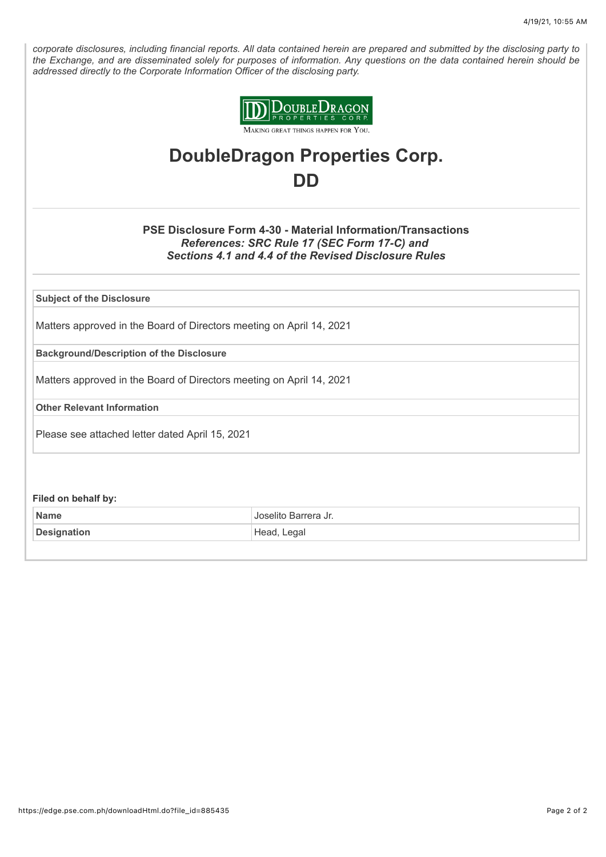*corporate disclosures, including financial reports. All data contained herein are prepared and submitted by the disclosing party to the Exchange, and are disseminated solely for purposes of information. Any questions on the data contained herein should be addressed directly to the Corporate Information Officer of the disclosing party.*



# **DoubleDragon Properties Corp. DD**

# **PSE Disclosure Form 4-30 - Material Information/Transactions** *References: SRC Rule 17 (SEC Form 17-C) and Sections 4.1 and 4.4 of the Revised Disclosure Rules*

**Subject of the Disclosure**

Matters approved in the Board of Directors meeting on April 14, 2021

**Background/Description of the Disclosure**

Matters approved in the Board of Directors meeting on April 14, 2021

**Other Relevant Information**

Please see attached letter dated April 15, 2021

**Filed on behalf by:**

| <b>Name</b>        | Barrera Jr.    |
|--------------------|----------------|
| <b>Designation</b> | ∟egal<br>Head, |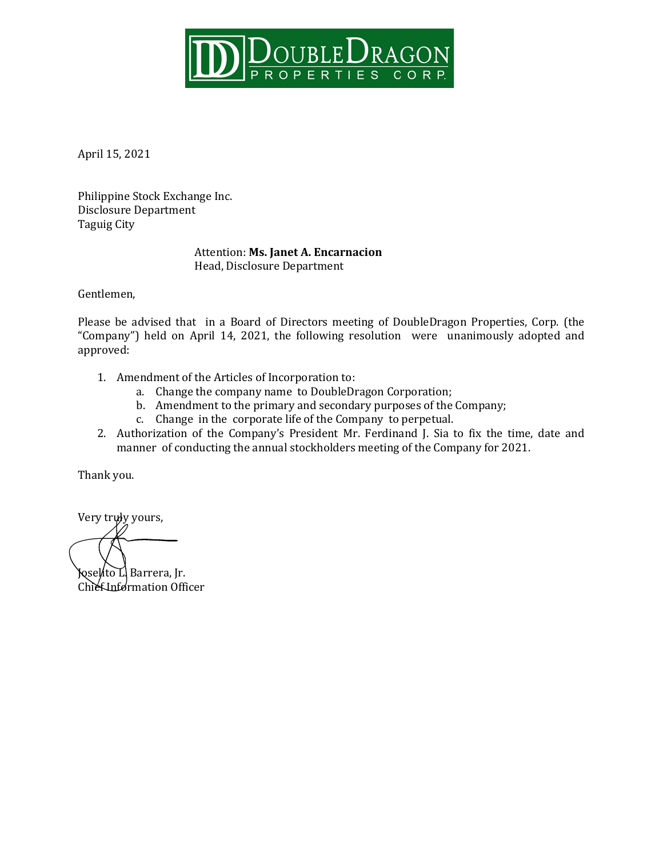

April 15, 2021

Philippine Stock Exchange Inc. Disclosure Department Taguig City

# Attention: **Ms. Janet A. Encarnacion** Head, Disclosure Department

Gentlemen,

Please be advised that in a Board of Directors meeting of DoubleDragon Properties, Corp. (the "Company") held on April 14, 2021, the following resolution were unanimously adopted and approved:

- 1. Amendment of the Articles of Incorporation to:
	- a. Change the company name to DoubleDragon Corporation;
	- b. Amendment to the primary and secondary purposes of the Company;
	- c. Change in the corporate life of the Company to perpetual.
- 2. Authorization of the Company's President Mr. Ferdinand J. Sia to fix the time, date and manner of conducting the annual stockholders meeting of the Company for 2021.

Thank you.

Very truly yours, Joselito L. Barrera, Jr. Chief Information Officer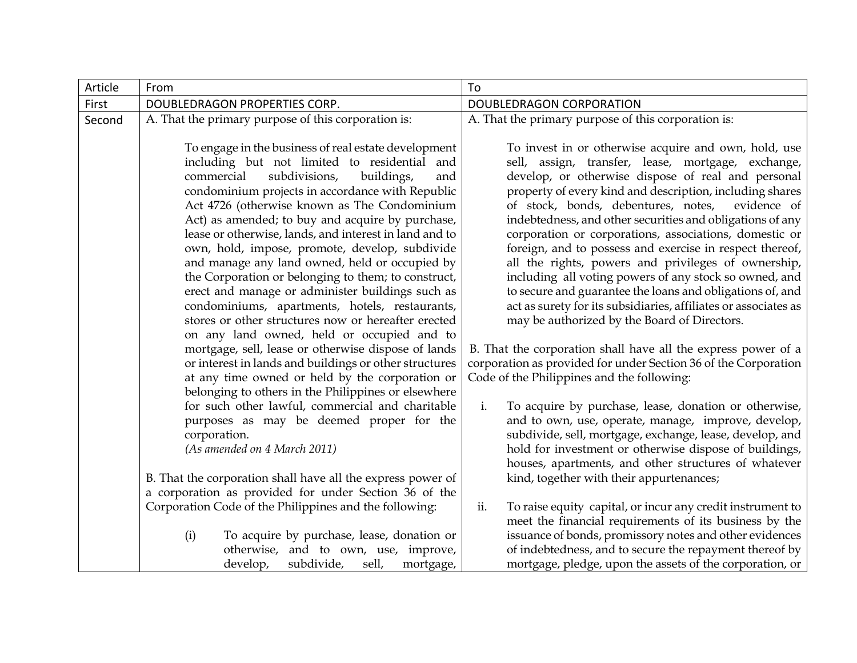| Article | From                                                                                                                                                                                                                                                                                                                                                                                                                                                                                                                                                                                                                                                                                                                                                                                                    | To                                                                                                                                                                                                                                                                                                                                                                                                                                                                                                                                                                                                                                                                                                                                                                                                                                      |
|---------|---------------------------------------------------------------------------------------------------------------------------------------------------------------------------------------------------------------------------------------------------------------------------------------------------------------------------------------------------------------------------------------------------------------------------------------------------------------------------------------------------------------------------------------------------------------------------------------------------------------------------------------------------------------------------------------------------------------------------------------------------------------------------------------------------------|-----------------------------------------------------------------------------------------------------------------------------------------------------------------------------------------------------------------------------------------------------------------------------------------------------------------------------------------------------------------------------------------------------------------------------------------------------------------------------------------------------------------------------------------------------------------------------------------------------------------------------------------------------------------------------------------------------------------------------------------------------------------------------------------------------------------------------------------|
| First   | DOUBLEDRAGON PROPERTIES CORP.                                                                                                                                                                                                                                                                                                                                                                                                                                                                                                                                                                                                                                                                                                                                                                           | DOUBLEDRAGON CORPORATION                                                                                                                                                                                                                                                                                                                                                                                                                                                                                                                                                                                                                                                                                                                                                                                                                |
| Second  | A. That the primary purpose of this corporation is:                                                                                                                                                                                                                                                                                                                                                                                                                                                                                                                                                                                                                                                                                                                                                     | A. That the primary purpose of this corporation is:                                                                                                                                                                                                                                                                                                                                                                                                                                                                                                                                                                                                                                                                                                                                                                                     |
|         | To engage in the business of real estate development<br>including but not limited to residential and<br>commercial<br>subdivisions,<br>buildings,<br>and<br>condominium projects in accordance with Republic<br>Act 4726 (otherwise known as The Condominium<br>Act) as amended; to buy and acquire by purchase,<br>lease or otherwise, lands, and interest in land and to<br>own, hold, impose, promote, develop, subdivide<br>and manage any land owned, held or occupied by<br>the Corporation or belonging to them; to construct,<br>erect and manage or administer buildings such as<br>condominiums, apartments, hotels, restaurants,<br>stores or other structures now or hereafter erected<br>on any land owned, held or occupied and to<br>mortgage, sell, lease or otherwise dispose of lands | To invest in or otherwise acquire and own, hold, use<br>sell, assign, transfer, lease, mortgage, exchange,<br>develop, or otherwise dispose of real and personal<br>property of every kind and description, including shares<br>of stock, bonds, debentures, notes,<br>evidence of<br>indebtedness, and other securities and obligations of any<br>corporation or corporations, associations, domestic or<br>foreign, and to possess and exercise in respect thereof,<br>all the rights, powers and privileges of ownership,<br>including all voting powers of any stock so owned, and<br>to secure and guarantee the loans and obligations of, and<br>act as surety for its subsidiaries, affiliates or associates as<br>may be authorized by the Board of Directors.<br>B. That the corporation shall have all the express power of a |
|         | or interest in lands and buildings or other structures<br>at any time owned or held by the corporation or                                                                                                                                                                                                                                                                                                                                                                                                                                                                                                                                                                                                                                                                                               | corporation as provided for under Section 36 of the Corporation<br>Code of the Philippines and the following:                                                                                                                                                                                                                                                                                                                                                                                                                                                                                                                                                                                                                                                                                                                           |
|         | belonging to others in the Philippines or elsewhere<br>for such other lawful, commercial and charitable<br>purposes as may be deemed proper for the<br>corporation.<br>(As amended on 4 March 2011)                                                                                                                                                                                                                                                                                                                                                                                                                                                                                                                                                                                                     | i.<br>To acquire by purchase, lease, donation or otherwise,<br>and to own, use, operate, manage, improve, develop,<br>subdivide, sell, mortgage, exchange, lease, develop, and<br>hold for investment or otherwise dispose of buildings,<br>houses, apartments, and other structures of whatever                                                                                                                                                                                                                                                                                                                                                                                                                                                                                                                                        |
|         | B. That the corporation shall have all the express power of<br>a corporation as provided for under Section 36 of the                                                                                                                                                                                                                                                                                                                                                                                                                                                                                                                                                                                                                                                                                    | kind, together with their appurtenances;                                                                                                                                                                                                                                                                                                                                                                                                                                                                                                                                                                                                                                                                                                                                                                                                |
|         | Corporation Code of the Philippines and the following:<br>To acquire by purchase, lease, donation or<br>(i)<br>otherwise, and to own, use, improve,<br>subdivide,<br>sell,<br>develop,<br>mortgage,                                                                                                                                                                                                                                                                                                                                                                                                                                                                                                                                                                                                     | ii.<br>To raise equity capital, or incur any credit instrument to<br>meet the financial requirements of its business by the<br>issuance of bonds, promissory notes and other evidences<br>of indebtedness, and to secure the repayment thereof by<br>mortgage, pledge, upon the assets of the corporation, or                                                                                                                                                                                                                                                                                                                                                                                                                                                                                                                           |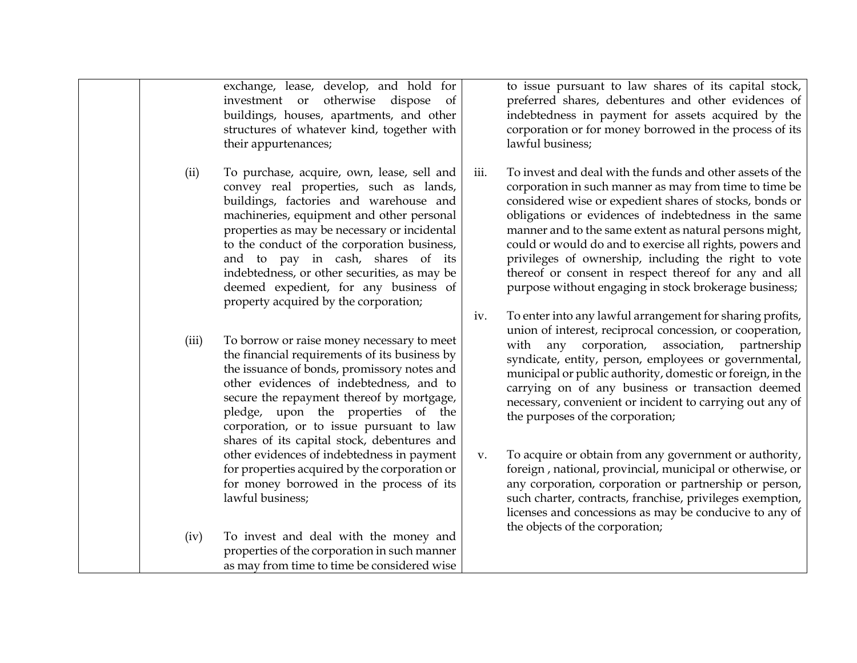|       | exchange, lease, develop, and hold for<br>investment or otherwise dispose<br><sub>of</sub><br>buildings, houses, apartments, and other<br>structures of whatever kind, together with<br>their appurtenances;                                                                                                                                                                                                                                      |      | to issue pursuant to law shares of its capital stock,<br>preferred shares, debentures and other evidences of<br>indebtedness in payment for assets acquired by the<br>corporation or for money borrowed in the process of its<br>lawful business;                                                                                                                                                                                                                                                                                       |
|-------|---------------------------------------------------------------------------------------------------------------------------------------------------------------------------------------------------------------------------------------------------------------------------------------------------------------------------------------------------------------------------------------------------------------------------------------------------|------|-----------------------------------------------------------------------------------------------------------------------------------------------------------------------------------------------------------------------------------------------------------------------------------------------------------------------------------------------------------------------------------------------------------------------------------------------------------------------------------------------------------------------------------------|
| (ii)  | To purchase, acquire, own, lease, sell and<br>convey real properties, such as lands,<br>buildings, factories and warehouse and<br>machineries, equipment and other personal<br>properties as may be necessary or incidental<br>to the conduct of the corporation business,<br>and to pay in cash, shares of its<br>indebtedness, or other securities, as may be<br>deemed expedient, for any business of<br>property acquired by the corporation; | iii. | To invest and deal with the funds and other assets of the<br>corporation in such manner as may from time to time be<br>considered wise or expedient shares of stocks, bonds or<br>obligations or evidences of indebtedness in the same<br>manner and to the same extent as natural persons might,<br>could or would do and to exercise all rights, powers and<br>privileges of ownership, including the right to vote<br>thereof or consent in respect thereof for any and all<br>purpose without engaging in stock brokerage business; |
| (iii) | To borrow or raise money necessary to meet<br>the financial requirements of its business by<br>the issuance of bonds, promissory notes and<br>other evidences of indebtedness, and to<br>secure the repayment thereof by mortgage,<br>pledge, upon the properties of the<br>corporation, or to issue pursuant to law<br>shares of its capital stock, debentures and                                                                               | iv.  | To enter into any lawful arrangement for sharing profits,<br>union of interest, reciprocal concession, or cooperation,<br>corporation, association, partnership<br>with<br>any<br>syndicate, entity, person, employees or governmental,<br>municipal or public authority, domestic or foreign, in the<br>carrying on of any business or transaction deemed<br>necessary, convenient or incident to carrying out any of<br>the purposes of the corporation;                                                                              |
|       | other evidences of indebtedness in payment<br>for properties acquired by the corporation or<br>for money borrowed in the process of its<br>lawful business;                                                                                                                                                                                                                                                                                       | v.   | To acquire or obtain from any government or authority,<br>foreign, national, provincial, municipal or otherwise, or<br>any corporation, corporation or partnership or person,<br>such charter, contracts, franchise, privileges exemption,<br>licenses and concessions as may be conducive to any of                                                                                                                                                                                                                                    |
| (iv)  | To invest and deal with the money and<br>properties of the corporation in such manner<br>as may from time to time be considered wise                                                                                                                                                                                                                                                                                                              |      | the objects of the corporation;                                                                                                                                                                                                                                                                                                                                                                                                                                                                                                         |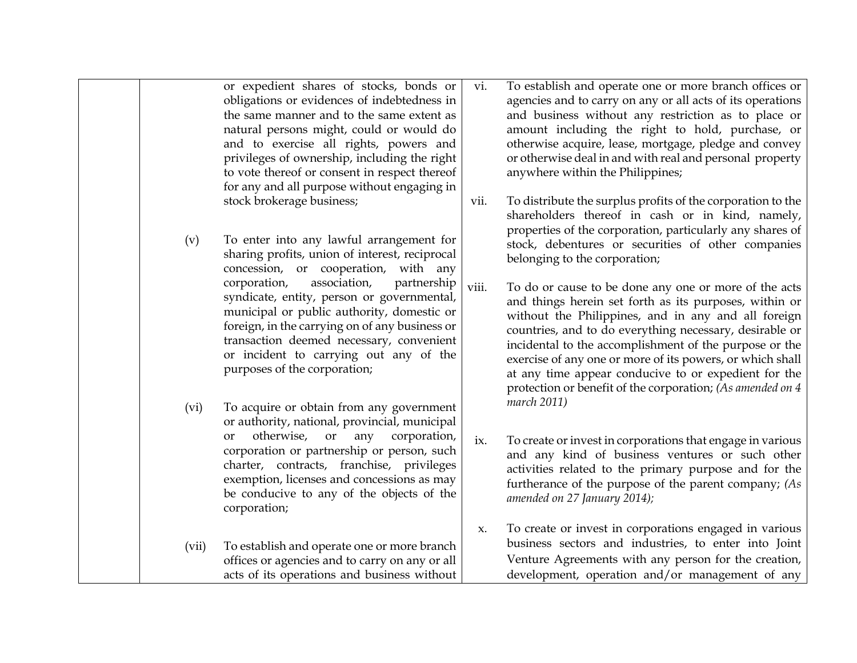|       | or expedient shares of stocks, bonds or<br>obligations or evidences of indebtedness in<br>the same manner and to the same extent as<br>natural persons might, could or would do<br>and to exercise all rights, powers and<br>privileges of ownership, including the right<br>to vote thereof or consent in respect thereof<br>for any and all purpose without engaging in | vi.   | To establish and operate one or more branch offices or<br>agencies and to carry on any or all acts of its operations<br>and business without any restriction as to place or<br>amount including the right to hold, purchase, or<br>otherwise acquire, lease, mortgage, pledge and convey<br>or otherwise deal in and with real and personal property<br>anywhere within the Philippines;                                                                                       |
|-------|---------------------------------------------------------------------------------------------------------------------------------------------------------------------------------------------------------------------------------------------------------------------------------------------------------------------------------------------------------------------------|-------|--------------------------------------------------------------------------------------------------------------------------------------------------------------------------------------------------------------------------------------------------------------------------------------------------------------------------------------------------------------------------------------------------------------------------------------------------------------------------------|
| (v)   | stock brokerage business;<br>To enter into any lawful arrangement for<br>sharing profits, union of interest, reciprocal<br>concession, or cooperation,<br>with any                                                                                                                                                                                                        | vii.  | To distribute the surplus profits of the corporation to the<br>shareholders thereof in cash or in kind, namely,<br>properties of the corporation, particularly any shares of<br>stock, debentures or securities of other companies<br>belonging to the corporation;                                                                                                                                                                                                            |
|       | association,<br>partnership<br>corporation,<br>syndicate, entity, person or governmental,<br>municipal or public authority, domestic or<br>foreign, in the carrying on of any business or<br>transaction deemed necessary, convenient<br>or incident to carrying out any of the<br>purposes of the corporation;                                                           | viii. | To do or cause to be done any one or more of the acts<br>and things herein set forth as its purposes, within or<br>without the Philippines, and in any and all foreign<br>countries, and to do everything necessary, desirable or<br>incidental to the accomplishment of the purpose or the<br>exercise of any one or more of its powers, or which shall<br>at any time appear conducive to or expedient for the<br>protection or benefit of the corporation; (As amended on 4 |
| (vi)  | To acquire or obtain from any government<br>or authority, national, provincial, municipal<br>otherwise,<br>or<br>corporation,<br>any<br>or<br>corporation or partnership or person, such<br>charter, contracts, franchise, privileges<br>exemption, licenses and concessions as may<br>be conducive to any of the objects of the<br>corporation;                          | ix.   | march 2011)<br>To create or invest in corporations that engage in various<br>and any kind of business ventures or such other<br>activities related to the primary purpose and for the<br>furtherance of the purpose of the parent company; (As<br>amended on 27 January 2014);                                                                                                                                                                                                 |
| (vii) | To establish and operate one or more branch<br>offices or agencies and to carry on any or all<br>acts of its operations and business without                                                                                                                                                                                                                              | x.    | To create or invest in corporations engaged in various<br>business sectors and industries, to enter into Joint<br>Venture Agreements with any person for the creation,<br>development, operation and/or management of any                                                                                                                                                                                                                                                      |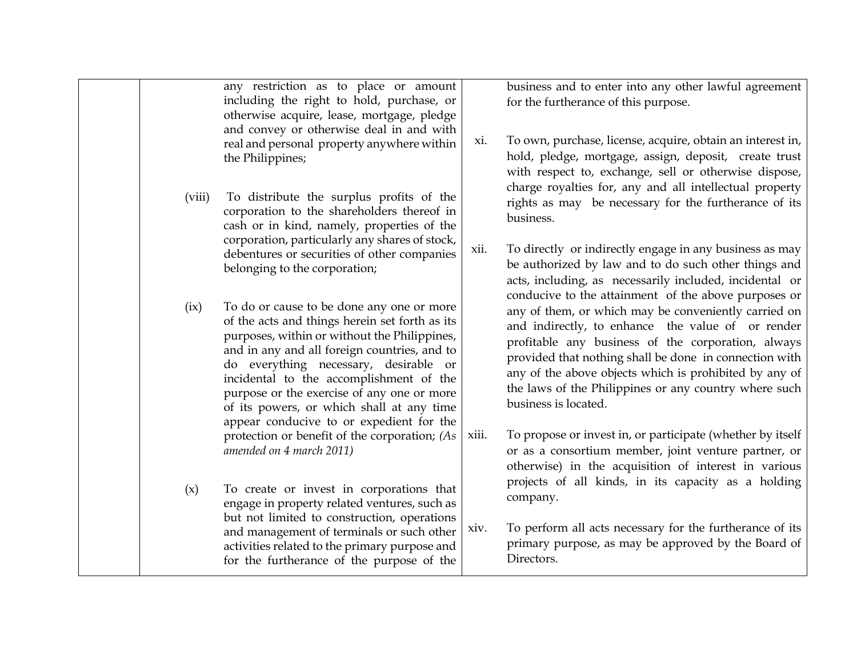|        | any restriction as to place or amount<br>including the right to hold, purchase, or<br>otherwise acquire, lease, mortgage, pledge<br>and convey or otherwise deal in and with<br>real and personal property anywhere within<br>the Philippines;                                                                                                                                                                         | xi.   | business and to enter into any other lawful agreement<br>for the furtherance of this purpose.<br>To own, purchase, license, acquire, obtain an interest in,<br>hold, pledge, mortgage, assign, deposit, create trust<br>with respect to, exchange, sell or otherwise dispose,                                                                                        |
|--------|------------------------------------------------------------------------------------------------------------------------------------------------------------------------------------------------------------------------------------------------------------------------------------------------------------------------------------------------------------------------------------------------------------------------|-------|----------------------------------------------------------------------------------------------------------------------------------------------------------------------------------------------------------------------------------------------------------------------------------------------------------------------------------------------------------------------|
| (viii) | To distribute the surplus profits of the<br>corporation to the shareholders thereof in<br>cash or in kind, namely, properties of the<br>corporation, particularly any shares of stock,                                                                                                                                                                                                                                 |       | charge royalties for, any and all intellectual property<br>rights as may be necessary for the furtherance of its<br>business.                                                                                                                                                                                                                                        |
|        | debentures or securities of other companies<br>belonging to the corporation;                                                                                                                                                                                                                                                                                                                                           | xii.  | To directly or indirectly engage in any business as may<br>be authorized by law and to do such other things and<br>acts, including, as necessarily included, incidental or<br>conducive to the attainment of the above purposes or                                                                                                                                   |
| (ix)   | To do or cause to be done any one or more<br>of the acts and things herein set forth as its<br>purposes, within or without the Philippines,<br>and in any and all foreign countries, and to<br>do everything necessary, desirable or<br>incidental to the accomplishment of the<br>purpose or the exercise of any one or more<br>of its powers, or which shall at any time<br>appear conducive to or expedient for the |       | any of them, or which may be conveniently carried on<br>and indirectly, to enhance the value of or render<br>profitable any business of the corporation, always<br>provided that nothing shall be done in connection with<br>any of the above objects which is prohibited by any of<br>the laws of the Philippines or any country where such<br>business is located. |
|        | protection or benefit of the corporation; (As<br>amended on 4 march 2011)                                                                                                                                                                                                                                                                                                                                              | xiii. | To propose or invest in, or participate (whether by itself<br>or as a consortium member, joint venture partner, or<br>otherwise) in the acquisition of interest in various                                                                                                                                                                                           |
| (x)    | To create or invest in corporations that<br>engage in property related ventures, such as<br>but not limited to construction, operations                                                                                                                                                                                                                                                                                |       | projects of all kinds, in its capacity as a holding<br>company.                                                                                                                                                                                                                                                                                                      |
|        | and management of terminals or such other<br>activities related to the primary purpose and<br>for the furtherance of the purpose of the                                                                                                                                                                                                                                                                                | XIV.  | To perform all acts necessary for the furtherance of its<br>primary purpose, as may be approved by the Board of<br>Directors.                                                                                                                                                                                                                                        |